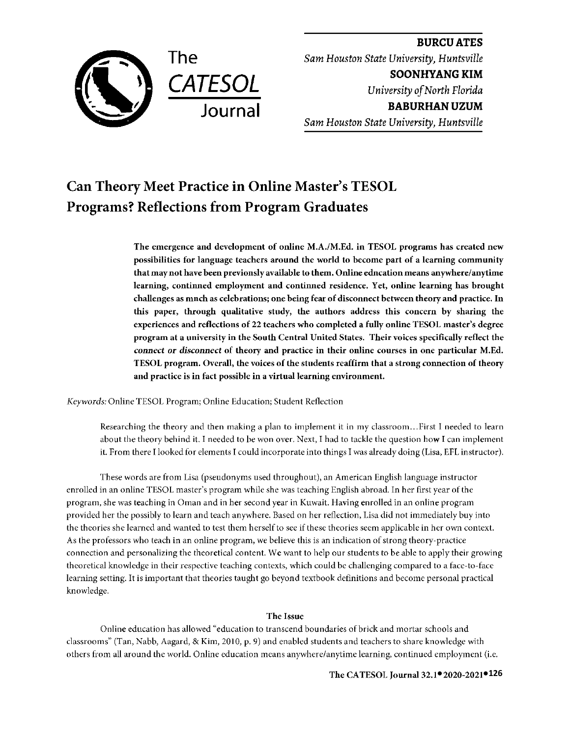

**BURCUATES**  *Sam Houston State University, Huntsville*  **SOONHYANG KIM**  *University of North Florida*  **BABURHAN UZUM**  *Sam Houston State University, Huntsville* 

# **Can Theory Meet Practice in Online Master's TESOL Programs? Reflections from Program Graduates**

**The emergence and development of online M.A./M.Ed. in TESOL programs has created new possibilities for language teachers around the world to become part of a learning community**  that may not have been previonsly available to them. Online education means anywhere/anytime learning, continned employment and continned residence. Yet, online learning has brought **challenges as much as celebrations; one being fear of disconnect between theory and practice. In this paper, through qualitative study, the authors address this concern by sharing the experiences and reflections of** 22 **teachers who completed a fully online TESOL master's degree program at a university in the South Central United States. Their voices specifically reflect the**  *connect or disconnect* **of theory and practice in their online courses in one particular M.Ed. TESOL program. Overall, the voices of the students reaffirm that a strong connection of theory and practice is in fact possible in a virtual learning environment.** 

*Keywords:* Online TESOL Program; Online Education; Student Reflection

Researching the theory and then making a plan to implement it in my classroom ... First I needed to learn about the theory behind it. I needed to be won over. Next, I had to tackle the question how I can implement it. From there I looked for elements I could incorporate into things I was already doing (Lisa, EFL instructor).

These words are from Lisa (pseudonyms used throughout), an American English language instructor enrolled in an online TESOL master's program while she was teaching English abroad. In her first year of the program, she was teaching in Oman and in her second year in Kuwait. Having enrolled in an online program provided her the possibly to learn and teach anywhere. Based on her reflection, Lisa did not immediately buy into the theories she learned and wanted to test them herself to see if these theories seem applicable in her own context. As the professors who teach in an online program, we believe this is an indication of strong theory-practice connection and personalizing the theoretical content. We want to help our students to be able to apply their growing theoretical knowledge **in** their respective teaching contexts, which could be challenging compared to a face-to-face learning setting. It is important that theories taught go beyond textbook definitions and become personal practical knowledge.

# **The Issue**

Online education has allowed "education to transcend boundaries of brick and mortar schools and classrooms" (Tan, Nabb, Aagard, & Kim, 2010, p. 9) and enabled students and teachers to share knowledge with others from all around the world. Online education means anywhere/anytime learning, continued employment (i.e.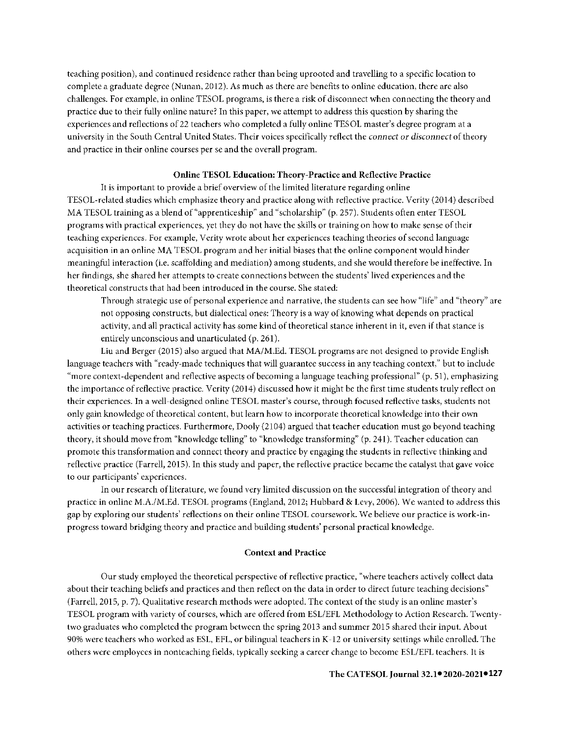teaching position), and continued residence rather than being uprooted and travelling to a specific location to complete a graduate degree (Nunan, 2012). As much as there are benefits to onlinc education, there arc also challenges. For example, in onlinc TESOL programs, is there a risk of disconnect when connecting the theory and practice due to their fully online nature? In this paper, we attempt to address this question by sharing the experiences and reflections of22 teachers who completed a fully onlinc TESOL master's degree program at a university in the South Central United States. Their voices specifically reflect the *connect or disconnect* of theory and practice in their online courses per se and the overall program.

## **Online TESOL Education: Theory-Practice and Reflective Practice**

It is important to provide a brief overview of the limited literature regarding online TESOL-related studies which emphasize theory and practice along with reflective practice. Verity (2014) described MA TESOL training as a blend of"apprenticeship" and "scholarship" (p. 257). Students often enter TESOL programs with practical experiences, yet they do not have the skills or training on how to make sense of their teaching experiences. For example, Verity wrote about her experiences teaching theories of second language acquisition in an online MA TESOL program and her initial biases that the online component would hinder meaningful interaction (i.e. scaffolding and mediation) among students, and she would therefore be ineffective. In her findings, she shared her attempts to create connections between the students' lived experiences and the theoretical constructs that had been introduced in the course. She stated:

Through strategic use of personal experience and narrative, the students can see how "life" and "theory" are not opposing constructs, but dialectical ones: Theory is a way of knowing what depends on practical activity, and all practical activity has some kind of theoretical stance inherent in it, even if that stance is entirely unconscious and unarticulated (p. 261).

Liu and Berger (2015) also argued that MA/M.Ed. TESOL programs are not designed to provide English language teachers with "ready-made techniques that will guarantee success in any teaching context," but to include "more context-dependent and reflective aspects of becoming a language teaching professional" (p. 51 ), emphasizing the importance of reflective practice. Verity (2014) discussed how it might be the first time students truly reflect on their experiences. In a well-designed online TESOL master's course, through focused reflective tasks, students not only gain knowledge of theoretical content, but learn how to incorporate theoretical knowledge into their own activities or teaching practices. Furthermore, Dooly (2104) argued that teacher education must go beyond teaching theory, it should move from "knowledge telling" to "knowledge transforming" (p. 241). Teacher education can promote this transformation and connect theory and practice by engaging the students in reflective thinking and reflective practice (Farrell, 2015). In this study and paper, the reflective practice became the catalyst that gave voice to our participants' experiences.

In our research of literature, we found very limited discussion on the successful integration of theory and practice in onlinc M.A./M.Ed. TESOL programs (England, 2012; Hubbard & Levy, 2006). We wanted to address this gap by exploring our students' reflections on their online TESOL coursework. We believe our practice is work-inprogress toward bridging theory and practice and building students' personal practical knowledge.

## **Context and Practice**

Our study employed the theoretical perspective of reflective practice, "where teachers actively collect data about their teaching beliefs and practices and then reflect on the data in order to direct future teaching decisions" (Farrell, 2015, p. 7). Qualitative research methods were adopted. The context of the study is an online master's TESOL program with variety of courses, which are offered from ESL/EFL Methodology to Action Research. Twentytwo graduates who completed the program between the spring 2013 and summer 2015 shared their input. About 90% were teachers who worked as ESL, EFL, or bilingual teachers in K-12 or university settings while enrolled. The others were employees in nonteaching fields, typically seeking a career change to become ESL/EFL teachers. It is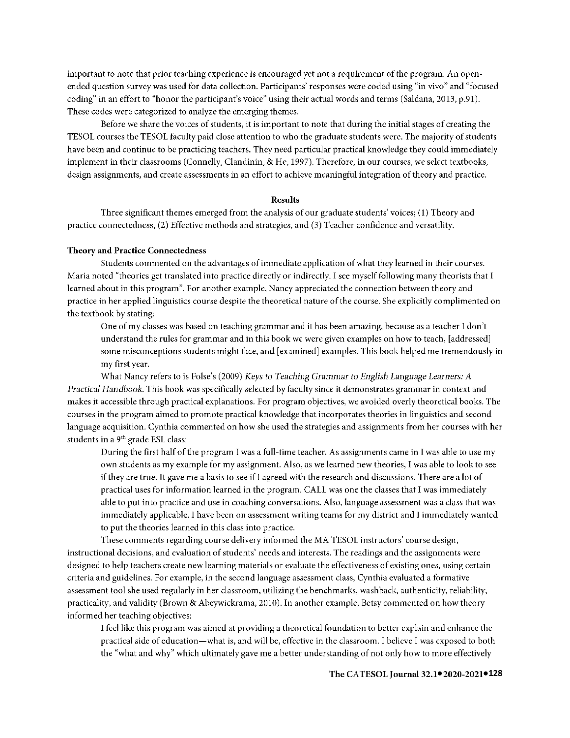important to note that prior teaching experience is encouraged yet not a requirement of the program. An openended question survey was used for data collection. Participants' responses were coded using "in vivo" and "focused coding" in an effort to "honor the participant's voice" using their actual words and terms (Saldana, 2013, p.91). These codes were categorized to analyze the emerging themes.

Before we share the voices of students, it is important to note that during the initial stages of creating the TESOL courses the TESOL faculty paid close attention to who the graduate students were. The majority of students have been and continue to be practicing teachers. They need particular practical knowledge they could immediately implement in their classrooms (Connelly, Clandinin, & He, 1997). Therefore, in our courses, we select textbooks, design assignments, and create assessments in an effort to achieve meaningful integration of theory and practice.

#### **Results**

Three significant themes emerged from the analysis of our graduate students' voices; (1) Theory and practice connectedness, (2) Effective methods and strategies, and (3) Teacher confidence and versatility.

#### **Theory and Practice Connectedness**

Students commented on the advantages of immediate application of what they learned in their courses. Maria noted "theories get translated into practice directly or indirectly. I see myself following many theorists that I learned about in this program". For another example, Nancy appreciated the connection between theory and practice in her applied linguistics course despite the theoretical nature of the course. She explicitly complimented on the textbook by stating:

One of my classes was based on teaching grammar and it has been amazing, because as a teacher I don't understand the rules for grammar and in this book we were given examples on how to teach, [addressed] some misconceptions students might face, and [examined] examples. This book helped me tremendously in my first year.

What Nancy refers to is Folse's (2009) *Keys to Teaching Grammar to English Language Learners: A Practical Handbook.* This book was specifically selected by faculty since it demonstrates grammar in context and makes it accessible through practical explanations. For program objectives, we avoided overly theoretical books. The courses in the program aimed to promote practical knowledge that incorporates theories in linguistics and second language acquisition. Cynthia commented on how she used the strategies and assignments from her courses with her students in a 9<sup>th</sup> grade ESL class:

During the first half of the program I was a full-time teacher. *As* assignments came in I was able to use my own students as my example for my assignment. Also, as we learned new theories, I was able to look to see if they are true. It gave me a basis to see ifl agreed with the research and discussions. There are a lot of practical uses for information learned in the program. CALL was one the classes that I was immediately able to put into practice and use in coaching conversations. Also, language assessment was a class that was immediately applicable. I have been on assessment writing teams for my district and I immediately wanted to put the theories learned in this class into practice.

These comments regarding course delivery informed the MA TESOL instructors' course design, instructional decisions, and evaluation of students' needs and interests. The readings and the assignments were designed to help teachers create new learning materials or evaluate the effectiveness of existing ones, using certain criteria and guidelines. For example, in the second language assessment class, Cynthia evaluated a formative assessment tool she used regularly in her classroom, utilizing the benchmarks, wash back, authenticity, reliability, practicality, and validity (Brown & Abeywickrama, 2010). In another example, Betsy commented on how theory informed her teaching objectives:

I feel like this program was aimed at providing a theoretical foundation to better explain and enhance the practical side of education-what is, and will be, effective in the classroom. I believe I was exposed to both the "what and why" which ultimately gave me a better understanding of not only how to more effectively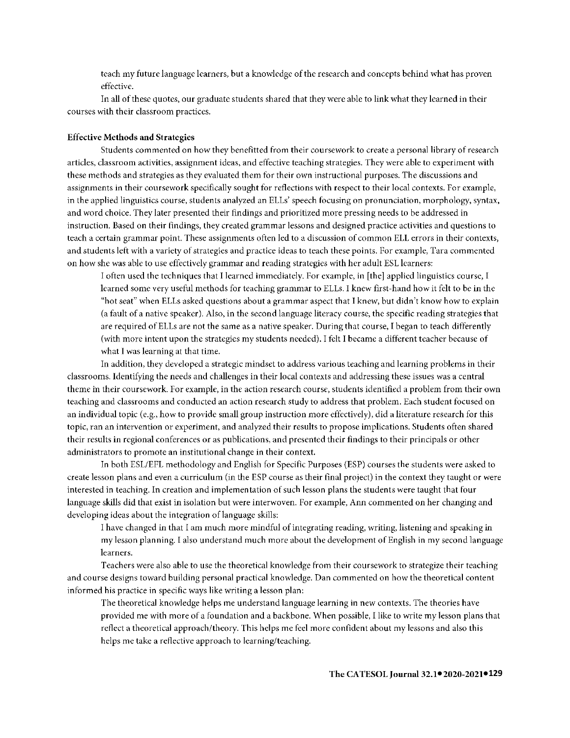teach my future language learners, but a knowledge of the research and concepts behind what has proven effective.

ln all of these quotes, our graduate students shared that they were able to link what they learned in their courses with their classroom practices.

## **Effective Methods and Strategies**

Students commented on how they benefttted from their coursework to create a personal library of research articles, classroom activities, assignment ideas, and effective teaching strategies. They were able to experiment with these methods and strategies as they evaluated them for their own instructional purposes. The discussions and assignments in their coursework specifically sought for reflections with respect to their local contexts. For example, in the applied linguistics course, students analyzed an ELLs' speech focusing on pronunciation, morphology, syntax, and word choice. They later presented their findings and prioritized more pressing needs to be addressed in instruction. Based on their findings, they created grammar lessons and designed practice activities and questions to teach a certain grammar point. These assignments often led to a discussion of common ELL errors in their contexts, and students left with a variety of strategies and practice ideas to teach these points. For example, Tara commented on how she was able to use effectively grammar and reading strategies with her adult ESL learners:

l often used the techniques that I learned immediately. For example, in [the] applied linguistics course, I learned some very useful methods for teaching grammar to ELLs. l knew first-hand how it felt to be in the "hot seat" when ELLs asked questions about a grammar aspect that I knew, but didn't know how to explain (a fault of a native speaker). Also, in the second language literacy course, the specific reading strategies that are required of ELLs are not the same as a native speaker. During that course, I began to teach differently (with more intent upon the strategies my students needed). l felt I became a different teacher because of what I was learning at that time.

ln addition, they developed a strategic mindset to address various teaching and learning problems in their classrooms. Identifying the needs and challenges in their local contexts and addressing these issues was a central theme in their coursework. For example, in the action research course, students identified a problem from their own teaching and classrooms and conducted an action research study to address that problem. Each student focused on an individual topic (e.g., how to provide small group instruction more effectively), did a literature research for this topic, ran an intervention or experiment, and analyzed their results to propose implications. Students often shared their results in regional conferences or as publications, and presented their findings to their principals or other administrators to promote an institutional change in their context.

ln both ESL/EFL methodology and English for Specific Purposes (ESP) courses the students were asked to create lesson plans and even a curriculum (in the ESP course as their final project) in the context they taught or were interested in teaching. In creation and implementation of such lesson plans the students were taught that four language skills did that exist in isolation but were interwoven. For example, Ann commented on her changing and developing ideas about the integration of language skills:

l have changed in that I am much more mindful of integrating reading, writing, listening and speaking in my lesson planning. I also understand much more about the development of English in my second language learners.

Teachers were also able to use the theoretical knowledge from their coursework to strategize their teaching and course designs toward building personal practical knowledge. Dan commented on how the theoretical content informed his practice in specific ways like writing a lesson plan:

The theoretical knowledge helps me understand language learning in new contexts. The theories have provided me with more of a foundation and a backbone. When possible, I like to write my lesson plans that reflect a theoretical approach/theory. This helps me feel more confident about my lessons and also this helps me take a reflective approach to learning/teaching.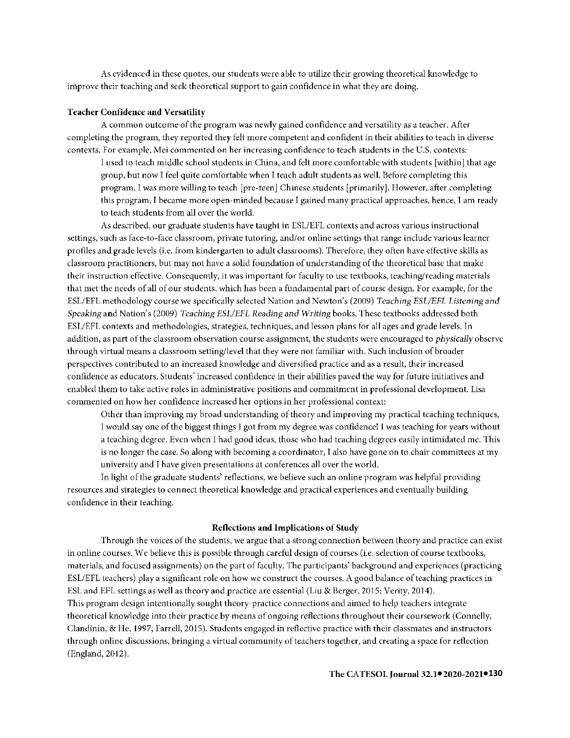As evidenced in these quotes, our students were able to utilize their growing theoretical knowledge to improve their teaching and seek theoretical support to gain confidence in what they are doing.

#### **Teacher Confidence and Versatility**

A common outcome of the program was newly gained confidence and versatility as a teacher. After completing the program, they reported they felt more competent and confident in their abilities to teach in diverse contexts. For example, Mei commented on her increasing confidence to teach students in the U.S. contexts:

l used to teach middle school students in China, and felt more comfortable with students [within] that age group, but now l feel quite comfortable when I teach adult students as well. Before completing this program, l was more willing to teach [pre-teen] Chinese students [primarily]. However, after completing this program, I became more open-minded because I gained many practical approaches, hence, I am ready to teach students from all over the world.

As described, our graduate students have taught in ESL/EFL contexts and across various instructional settings, such as face-to-face classroom, private tutoring, and/or online settings that range include various learner profiles and grade levels (i.e. from kindergarten to adult classrooms). Therefore, they often have effective skills as classroom practitioners, but may not have a solid foundation of understanding of the theoretical base that make their instruction effective. Consequently, it was important for faculty to use textbooks, teaching/reading materials that met the needs of all of our students, which has been a fundamental part of course design. For example, for the ESL/EFL methodology course we specifically selected Nation and Newton's (2009) *Teaching ESL/EFL Listening and Speaking* and Nation's (2009) *Teacl1i11g ESL/EFL Reading and Writing* books. These textbooks addressed both ESL/EFL contexts and methodologies, strategies, techniques, and lesson plans for all ages and grade levels. In addition, as part of the classroom observation course assignment, the students were encouraged to *physically* observe through virtual means a classroom setting/level that they were not familiar with. Such inclusion of broader perspectives contributed to an increased knowledge and diversified practice and as a result, their increased contldence as educators. Students' increased confidence in their abilities paved the way for future initiatives and enabled them to take active roles in administrative positions and commitment in professional development. Lisa commented on how her confidence increased her options in her professional context:

Other than improving my broad understanding of theory and improving my practical teaching techniques, l would say one of the biggest things l got from my degree was confidence! I was teaching for years without a teaching degree. Even when I had good ideas, those who had teaching degrees easily intimidated me. This is no longer the case. So along with becoming a coordinator, I also have gone on to chair committees at my university and I have given presentations at conferences all over the world.

ln light of the graduate students' reflections, we believe such an online program was helpful providing resources and strategies to connect theoretical knowledge and practical experiences and eventually building confidence in their teaching.

## **Reflections and Implications** of **Study**

Through the voices of the students, we argue that a strong connection between theory and practice can exist in online courses.We believe this is possible through careful design of courses (i.e. selection of course textbooks, materials, and focused assignments) on the part of faculty. The participants' background and experiences (practicing ESL/EFL teachers) play a significant role on how we construct the courses. A good balance of teaching practices in ESL and EFL settings as well as theory and practice are essential (Liu & Berger, 2015; Verity, 2014). This program design intentionally sought theory-practice connections and aimed to help teachers integrate theoretical knowledge into their practice by means of ongoing reflections throughout their coursework (Connelly, Clandinin, & He, 1997; Farrell, 2015). Students engaged in reflective practice with their classmates and instructors through online discussions, bringing a virtual community of teachers together, and creating a space for reflection (England, 2012).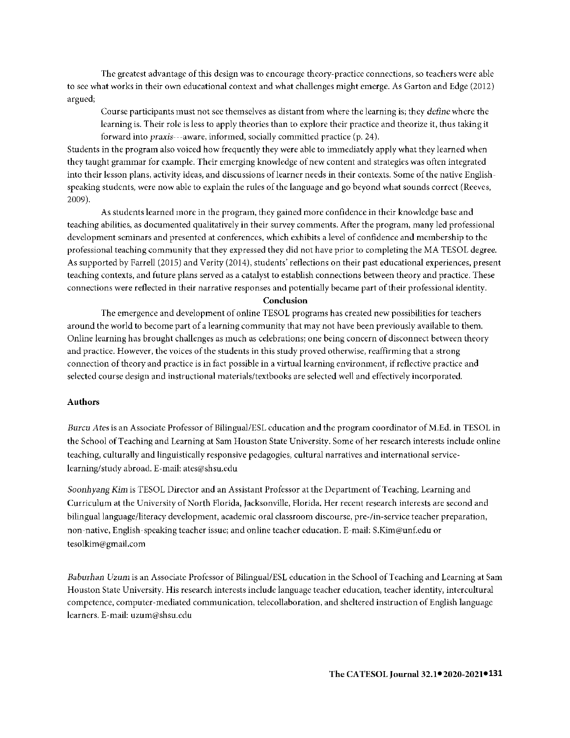The greatest advantage of this design was to encourage theory-practice connections, so teachers were able to see what works in their own educational context and what challenges might emerge. As Garton and Edge (2012) argued;

Course participants must not see themselves as distant from where the learning is; they *define* where the learning is. Their role is less to apply theories than to explore their practice and theorize it, thus taking it forward into praxis---aware, informed, socially committed practice (p. 24).

Students in the program also voiced how frequently they were able to immediately apply what they learned when they taught grammar for example. Their emerging knowledge of new content and strategies was often integrated into their lesson plans, activity ideas, and discussions of learner needs in their contexts. Some of the native Englishspeaking students, were now able to explain the rules of the language and go beyond what sounds correct (Reeves, 2009).

As students learned more in the program, they gained more confidence in their knowledge base and teaching abilities, as documented qualitatively in their survey comments. After the program, many led professional development seminars and presented at conferences, which exhibits a level of confidence and membership to the professional teaching community that they expressed they did not have prior to completing the MA TESOL degree. As supported by Farrell (2015) and Verity (2014), students' reflections on their past educational experiences, present teaching contexts, and future plans served as a catalyst to establish connections between theory and practice. These connections were reflected in their narrative responses and potentially became part of their professional identity.

#### **Conclusion**

The emergence and development of online TESOL programs has created new possibilities for teachers around the world to become part of a learning community that may not have been previously available to them. Online learning has brought challenges as much as celebrations; one being concern of disconnect between theory and practice. However, the voices of the students in this study proved otherwise, reaffirming that a strong connection of theory and practice is in fact possible in a virtual learning environment, if reflective practice and selected course design and instructional materials/textbooks are selected well and effectively incorporated.

# **Authors**

*Burcu Ates* is an Associate Professor of Bilingual/ESL education and the program coordinator of M.Ed. in TESOL in the School of Teaching and Learning at Sam Houston State University. Some of her research interests include online teaching, culturally and linguistically responsive pedagogies, cultural narratives and international servicelearning/study abroad.E-mail:ates@shsu.edu

*S0011hyang* Kim is TESOL Director and an Assistant Professor at the Department of Teaching, Learning and Curriculum at the University of North Florida, Jacksonville, Florida. Her recent research interests are second and bilingual language/literacy development, academic oral classroom discourse, pre-fin-service teacher preparation, non-native, English-speaking teacher issue; and online teacher education.E-mail:S.Kim@unf.edu or tesolkim@gmail.com

*Baburhan Uzum* is an Associate Professor of Bilingual/ESL education in the School of Teaching and Learning at Sam Houston State University. His research interests include language teacher education, teacher identity, intercultural competence, computer-mediated communication, tclecollaboration, and sheltered instruction of English language learners. E-mail: uzum@shsu.edu